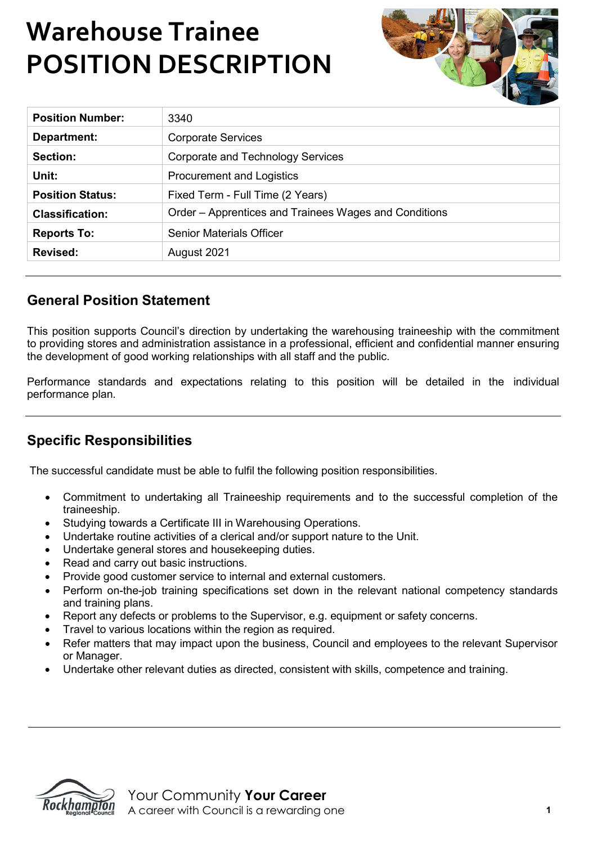# **Warehouse Trainee POSITION DESCRIPTION**

| <b>Position Number:</b> | 3340                                                  |
|-------------------------|-------------------------------------------------------|
| Department:             | <b>Corporate Services</b>                             |
| Section:                | Corporate and Technology Services                     |
| Unit:                   | <b>Procurement and Logistics</b>                      |
| <b>Position Status:</b> | Fixed Term - Full Time (2 Years)                      |
| <b>Classification:</b>  | Order – Apprentices and Trainees Wages and Conditions |
| <b>Reports To:</b>      | <b>Senior Materials Officer</b>                       |
| <b>Revised:</b>         | August 2021                                           |

### **General Position Statement**

This position supports Council's direction by undertaking the warehousing traineeship with the commitment to providing stores and administration assistance in a professional, efficient and confidential manner ensuring the development of good working relationships with all staff and the public.

Performance standards and expectations relating to this position will be detailed in the individual performance plan.

### **Specific Responsibilities**

The successful candidate must be able to fulfil the following position responsibilities.

- Commitment to undertaking all Traineeship requirements and to the successful completion of the traineeship.
- Studying towards a Certificate III in Warehousing Operations.
- Undertake routine activities of a clerical and/or support nature to the Unit.
- Undertake general stores and housekeeping duties.
- Read and carry out basic instructions.
- Provide good customer service to internal and external customers.
- Perform on-the-job training specifications set down in the relevant national competency standards and training plans.
- Report any defects or problems to the Supervisor, e.g. equipment or safety concerns.
- Travel to various locations within the region as required.
- Refer matters that may impact upon the business, Council and employees to the relevant Supervisor or Manager.
- Undertake other relevant duties as directed, consistent with skills, competence and training.



Your Community **Your Career** A career with Council is a rewarding one **1**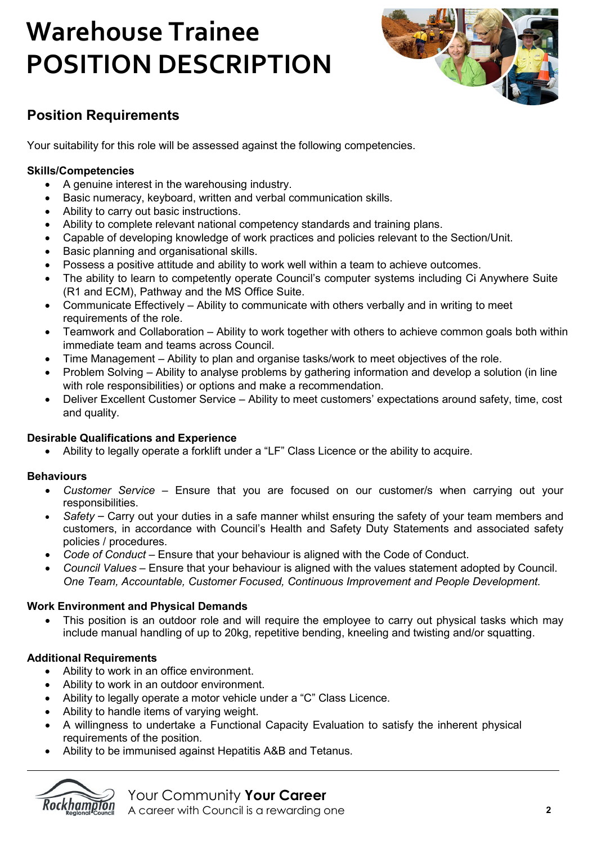# **Warehouse Trainee POSITION DESCRIPTION**



# **Position Requirements**

Your suitability for this role will be assessed against the following competencies.

#### **Skills/Competencies**

- A genuine interest in the warehousing industry.
- Basic numeracy, keyboard, written and verbal communication skills.
- Ability to carry out basic instructions.
- Ability to complete relevant national competency standards and training plans.
- Capable of developing knowledge of work practices and policies relevant to the Section/Unit.
- Basic planning and organisational skills.
- Possess a positive attitude and ability to work well within a team to achieve outcomes.
- The ability to learn to competently operate Council's computer systems including Ci Anywhere Suite (R1 and ECM), Pathway and the MS Office Suite.
- Communicate Effectively Ability to communicate with others verbally and in writing to meet requirements of the role.
- Teamwork and Collaboration Ability to work together with others to achieve common goals both within immediate team and teams across Council.
- Time Management Ability to plan and organise tasks/work to meet objectives of the role.
- Problem Solving Ability to analyse problems by gathering information and develop a solution (in line with role responsibilities) or options and make a recommendation.
- Deliver Excellent Customer Service Ability to meet customers' expectations around safety, time, cost and quality.

#### **Desirable Qualifications and Experience**

• Ability to legally operate a forklift under a "LF" Class Licence or the ability to acquire.

#### **Behaviours**

- *Customer Service* Ensure that you are focused on our customer/s when carrying out your responsibilities.
- *Safety*  Carry out your duties in a safe manner whilst ensuring the safety of your team members and customers, in accordance with Council's Health and Safety Duty Statements and associated safety policies / procedures.
- *Code of Conduct*  Ensure that your behaviour is aligned with the Code of Conduct.
- *Council Values* Ensure that your behaviour is aligned with the values statement adopted by Council. *One Team, Accountable, Customer Focused, Continuous Improvement and People Development.*

#### **Work Environment and Physical Demands**

This position is an outdoor role and will require the employee to carry out physical tasks which may include manual handling of up to 20kg, repetitive bending, kneeling and twisting and/or squatting.

#### **Additional Requirements**

- Ability to work in an office environment.
- Ability to work in an outdoor environment.
- Ability to legally operate a motor vehicle under a "C" Class Licence.
- Ability to handle items of varying weight.
- A willingness to undertake a Functional Capacity Evaluation to satisfy the inherent physical requirements of the position.
- Ability to be immunised against Hepatitis A&B and Tetanus.



Your Community **Your Career**

A career with Council is a rewarding one **2**